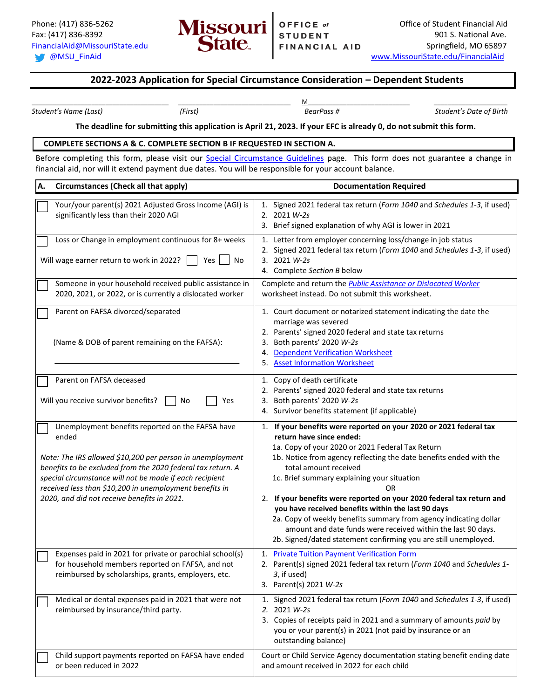

## **2022-2023 Application for Special Circumstance Consideration – Dependent Students**

*Student's Name (Last) (First) BearPass # Student's Date of Birth*

\_\_\_\_\_\_\_\_\_\_\_\_\_\_\_\_\_\_\_\_\_\_\_\_\_\_\_\_\_\_\_\_\_\_\_\_\_\_\_ \_\_\_\_\_\_\_\_\_\_\_\_\_\_\_\_\_\_\_\_\_\_\_\_\_\_\_\_\_\_\_\_ M\_\_\_\_\_\_\_\_\_\_\_\_\_\_\_\_\_\_\_\_\_\_\_\_\_\_\_\_\_ \_\_\_\_\_\_\_\_\_\_\_\_\_\_\_\_\_\_\_\_\_

## **The deadline for submitting this application is April 21, 2023. If your EFC is already 0, do not submit this form.**

## **COMPLETE SECTIONS A & C. COMPLETE SECTION B IF REQUESTED IN SECTION A.**

Before completing this form, please visit our **Special Circumstance Guidelines** page. This form does not guarantee a change in financial aid, nor will it extend payment due dates. You will be responsible for your account balance.

| A. | Circumstances (Check all that apply)                                                                                                                                                                                                                                                                                                                       | <b>Documentation Required</b>                                                                                                                                                                                                                                                                                                                                                                                                                                                                                                                                                                                                                        |
|----|------------------------------------------------------------------------------------------------------------------------------------------------------------------------------------------------------------------------------------------------------------------------------------------------------------------------------------------------------------|------------------------------------------------------------------------------------------------------------------------------------------------------------------------------------------------------------------------------------------------------------------------------------------------------------------------------------------------------------------------------------------------------------------------------------------------------------------------------------------------------------------------------------------------------------------------------------------------------------------------------------------------------|
|    | Your/your parent(s) 2021 Adjusted Gross Income (AGI) is<br>significantly less than their 2020 AGI                                                                                                                                                                                                                                                          | 1. Signed 2021 federal tax return (Form 1040 and Schedules 1-3, if used)<br>2. 2021 W-2s<br>3. Brief signed explanation of why AGI is lower in 2021                                                                                                                                                                                                                                                                                                                                                                                                                                                                                                  |
|    | Loss or Change in employment continuous for 8+ weeks<br>Will wage earner return to work in 2022?<br>Yes<br>No                                                                                                                                                                                                                                              | 1. Letter from employer concerning loss/change in job status<br>Signed 2021 federal tax return (Form 1040 and Schedules 1-3, if used)<br>3. 2021 $W-2s$<br>4. Complete Section B below                                                                                                                                                                                                                                                                                                                                                                                                                                                               |
|    | Someone in your household received public assistance in<br>2020, 2021, or 2022, or is currently a dislocated worker                                                                                                                                                                                                                                        | Complete and return the <b>Public Assistance or Dislocated Worker</b><br>worksheet instead. Do not submit this worksheet.                                                                                                                                                                                                                                                                                                                                                                                                                                                                                                                            |
|    | Parent on FAFSA divorced/separated<br>(Name & DOB of parent remaining on the FAFSA):                                                                                                                                                                                                                                                                       | 1. Court document or notarized statement indicating the date the<br>marriage was severed<br>2. Parents' signed 2020 federal and state tax returns<br>3. Both parents' 2020 W-2s<br><b>Dependent Verification Worksheet</b><br>4.<br><b>Asset Information Worksheet</b><br>5.                                                                                                                                                                                                                                                                                                                                                                         |
|    | Parent on FAFSA deceased<br>Will you receive survivor benefits?<br>No<br>Yes                                                                                                                                                                                                                                                                               | 1. Copy of death certificate<br>2. Parents' signed 2020 federal and state tax returns<br>3. Both parents' 2020 W-2s<br>4. Survivor benefits statement (if applicable)                                                                                                                                                                                                                                                                                                                                                                                                                                                                                |
|    | Unemployment benefits reported on the FAFSA have<br>ended<br>Note: The IRS allowed \$10,200 per person in unemployment<br>benefits to be excluded from the 2020 federal tax return. A<br>special circumstance will not be made if each recipient<br>received less than \$10,200 in unemployment benefits in<br>2020, and did not receive benefits in 2021. | 1. If your benefits were reported on your 2020 or 2021 federal tax<br>return have since ended:<br>1a. Copy of your 2020 or 2021 Federal Tax Return<br>1b. Notice from agency reflecting the date benefits ended with the<br>total amount received<br>1c. Brief summary explaining your situation<br><b>OR</b><br>2. If your benefits were reported on your 2020 federal tax return and<br>you have received benefits within the last 90 days<br>2a. Copy of weekly benefits summary from agency indicating dollar<br>amount and date funds were received within the last 90 days.<br>2b. Signed/dated statement confirming you are still unemployed. |
|    | Expenses paid in 2021 for private or parochial school(s)<br>for household members reported on FAFSA, and not<br>reimbursed by scholarships, grants, employers, etc.                                                                                                                                                                                        | <b>Private Tuition Payment Verification Form</b><br>1.<br>2. Parent(s) signed 2021 federal tax return (Form 1040 and Schedules 1-<br>3, if used)<br>3. Parent(s) 2021 W-2s                                                                                                                                                                                                                                                                                                                                                                                                                                                                           |
|    | Medical or dental expenses paid in 2021 that were not<br>reimbursed by insurance/third party.                                                                                                                                                                                                                                                              | 1. Signed 2021 federal tax return (Form 1040 and Schedules 1-3, if used)<br>2. 2021 W-2s<br>3. Copies of receipts paid in 2021 and a summary of amounts paid by<br>you or your parent(s) in 2021 (not paid by insurance or an<br>outstanding balance)                                                                                                                                                                                                                                                                                                                                                                                                |
|    | Child support payments reported on FAFSA have ended<br>or been reduced in 2022                                                                                                                                                                                                                                                                             | Court or Child Service Agency documentation stating benefit ending date<br>and amount received in 2022 for each child                                                                                                                                                                                                                                                                                                                                                                                                                                                                                                                                |